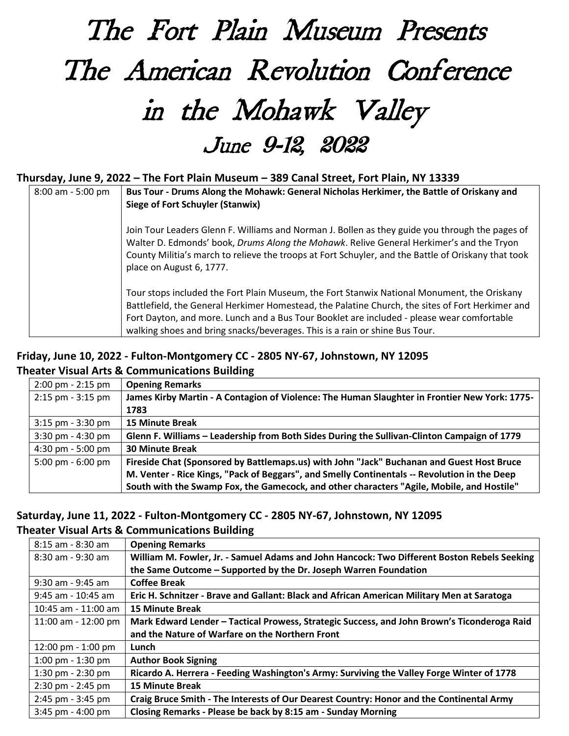# The Fort Plain Museum Presents The American Revolution Conference in the Mohawk Valley June 9-12, 2022

### **Thursday, June 9, 2022 – The Fort Plain Museum – 389 Canal Street, Fort Plain, NY 13339**

| $8:00$ am - 5:00 pm | Bus Tour - Drums Along the Mohawk: General Nicholas Herkimer, the Battle of Oriskany and<br>Siege of Fort Schuyler (Stanwix)                                                                                                                                                                                                                                                 |
|---------------------|------------------------------------------------------------------------------------------------------------------------------------------------------------------------------------------------------------------------------------------------------------------------------------------------------------------------------------------------------------------------------|
|                     | Join Tour Leaders Glenn F. Williams and Norman J. Bollen as they guide you through the pages of<br>Walter D. Edmonds' book, Drums Along the Mohawk. Relive General Herkimer's and the Tryon<br>County Militia's march to relieve the troops at Fort Schuyler, and the Battle of Oriskany that took<br>place on August 6, 1777.                                               |
|                     | Tour stops included the Fort Plain Museum, the Fort Stanwix National Monument, the Oriskany<br>Battlefield, the General Herkimer Homestead, the Palatine Church, the sites of Fort Herkimer and<br>Fort Dayton, and more. Lunch and a Bus Tour Booklet are included - please wear comfortable<br>walking shoes and bring snacks/beverages. This is a rain or shine Bus Tour. |

# **Friday, June 10, 2022 - Fulton-Montgomery CC - 2805 NY-67, Johnstown, NY 12095 Theater Visual Arts & Communications Building**

| $2:00 \text{ pm} - 2:15 \text{ pm}$ | <b>Opening Remarks</b>                                                                        |
|-------------------------------------|-----------------------------------------------------------------------------------------------|
| $2:15$ pm - $3:15$ pm               | James Kirby Martin - A Contagion of Violence: The Human Slaughter in Frontier New York: 1775- |
|                                     | 1783                                                                                          |
| $3:15$ pm - $3:30$ pm               | <b>15 Minute Break</b>                                                                        |
| 3:30 pm - 4:30 pm                   | Glenn F. Williams - Leadership from Both Sides During the Sullivan-Clinton Campaign of 1779   |
| 4:30 pm - 5:00 pm                   | <b>30 Minute Break</b>                                                                        |
| 5:00 pm $-6:00$ pm                  | Fireside Chat (Sponsored by Battlemaps.us) with John "Jack" Buchanan and Guest Host Bruce     |
|                                     | M. Venter - Rice Kings, "Pack of Beggars", and Smelly Continentals -- Revolution in the Deep  |
|                                     | South with the Swamp Fox, the Gamecock, and other characters "Agile, Mobile, and Hostile"     |

#### **Saturday, June 11, 2022 - Fulton-Montgomery CC - 2805 NY-67, Johnstown, NY 12095 Theater Visual Arts & Communications Building**

| 8:15 am - 8:30 am                   | <b>Opening Remarks</b>                                                                      |
|-------------------------------------|---------------------------------------------------------------------------------------------|
| 8:30 am - 9:30 am                   | William M. Fowler, Jr. - Samuel Adams and John Hancock: Two Different Boston Rebels Seeking |
|                                     | the Same Outcome – Supported by the Dr. Joseph Warren Foundation                            |
| 9:30 am - 9:45 am                   | <b>Coffee Break</b>                                                                         |
| 9:45 am - 10:45 am                  | Eric H. Schnitzer - Brave and Gallant: Black and African American Military Men at Saratoga  |
| 10:45 am - 11:00 am                 | <b>15 Minute Break</b>                                                                      |
| 11:00 am - 12:00 pm                 | Mark Edward Lender - Tactical Prowess, Strategic Success, and John Brown's Ticonderoga Raid |
|                                     | and the Nature of Warfare on the Northern Front                                             |
| 12:00 pm - 1:00 pm                  | Lunch                                                                                       |
| 1:00 pm $-$ 1:30 pm                 | <b>Author Book Signing</b>                                                                  |
| $1:30 \text{ pm} - 2:30 \text{ pm}$ | Ricardo A. Herrera - Feeding Washington's Army: Surviving the Valley Forge Winter of 1778   |
| $2:30$ pm - $2:45$ pm               | <b>15 Minute Break</b>                                                                      |
| $2:45$ pm - $3:45$ pm               | Craig Bruce Smith - The Interests of Our Dearest Country: Honor and the Continental Army    |
| $3:45$ pm - $4:00$ pm               | Closing Remarks - Please be back by 8:15 am - Sunday Morning                                |